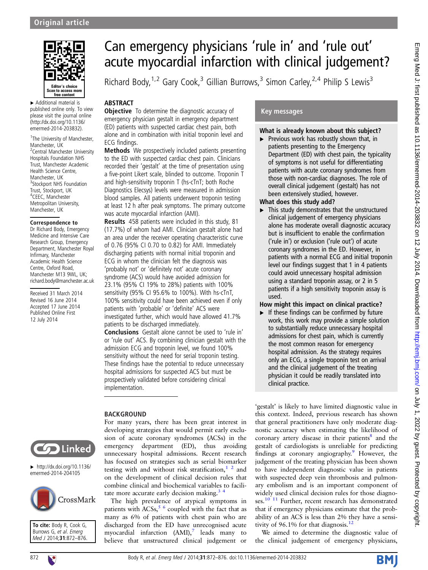

▸ Additional material is published online only. To view please visit the journal online [\(http://dx.doi.org/10.1136/](http://dx.doi.org/10.1136/emermed-2014-203832) [emermed-2014-203832](http://dx.doi.org/10.1136/emermed-2014-203832)).

<sup>1</sup>The University of Manchester, Manchester, LIK <sup>2</sup> Central Manchester University Hospitals Foundation NHS Trust, Manchester Academic Health Science Centre, Manchester, UK <sup>3</sup>Stockport NHS Foundation Trust, Stockport, UK 4 CEEC, Manchester Metropolitan University, Manchester, UK

#### Correspondence to

Dr Richard Body, Emergency Medicine and Intensive Care Research Group, Emergency Department, Manchester Royal Infirmary, Manchester Academic Health Science Centre, Oxford Road, Manchester M13 9WL, UK; richard.body@manchester.ac.uk

Received 31 March 2014 Revised 16 June 2014 Accepted 17 June 2014 Published Online First 12 July 2014



 $\blacktriangleright$  [http://dx.doi.org/10.1136/](http://dx.doi.org/10.1136/emermed-2014-204105) [emermed-2014-204105](http://dx.doi.org/10.1136/emermed-2014-204105)



#### To cite: Body R, Cook G, Burrows G, et al. Emerg Med J 2014;31:872-876.

# Can emergency physicians 'rule in' and 'rule out' acute myocardial infarction with clinical judgement?

Richard Body,  $1.2$  Gary Cook,  $3$  Gillian Burrows,  $3$  Simon Carley,  $2.4$  Philip S Lewis 3

# ABSTRACT

**Objective** To determine the diagnostic accuracy of emergency physician gestalt in emergency department (ED) patients with suspected cardiac chest pain, both alone and in combination with initial troponin level and ECG findings.

Methods We prospectively included patients presenting to the ED with suspected cardiac chest pain. Clinicians recorded their 'gestalt' at the time of presentation using a five-point Likert scale, blinded to outcome. Troponin T and high-sensitivity troponin T (hs-cTnT; both Roche Diagnostics Elecsys) levels were measured in admission blood samples. All patients underwent troponin testing at least 12 h after peak symptoms. The primary outcome was acute myocardial infarction (AMI).

Results 458 patients were included in this study, 81 (17.7%) of whom had AMI. Clinician gestalt alone had an area under the receiver operating characteristic curve of 0.76 (95% CI 0.70 to 0.82) for AMI. Immediately discharging patients with normal initial troponin and ECG in whom the clinician felt the diagnosis was 'probably not' or 'definitely not' acute coronary syndrome (ACS) would have avoided admission for 23.1% (95% CI 19% to 28%) patients with 100% sensitivity (95% CI 95.6% to 100%). With hs-cTnT, 100% sensitivity could have been achieved even if only patients with 'probable' or 'definite' ACS were investigated further, which would have allowed 41.7%

Conclusions Gestalt alone cannot be used to 'rule in' or 'rule out' ACS. By combining clinician gestalt with the admission ECG and troponin level, we found 100% sensitivity without the need for serial troponin testing. These findings have the potential to reduce unnecessary hospital admissions for suspected ACS but must be prospectively validated before considering clinical implementation.

patients to be discharged immediately.

# BACKGROUND

For many years, there has been great interest in developing strategies that would permit early exclusion of acute coronary syndromes (ACSs) in the emergency department (ED), thus avoiding unnecessary hospital admissions. Recent research has focused on strategies such as serial biomarker testing with and without risk stratification, $1^2$  and on the development of clinical decision rules that combine clinical and biochemical variables to facilitate more accurate early decision making.<sup>3</sup>

The high prevalence of atypical symptoms in patients with  $ACSs$ ,  $5/6$  coupled with the fact that as many as 6% of patients with chest pain who are discharged from the ED have unrecognised acute myocardial infarction  $(AMI)$ ,<sup>[7](#page-4-0)</sup> leads many to believe that unstructured clinical judgement or

# Key messages

# What is already known about this subject?

 $\blacktriangleright$  Previous work has robustly shown that, in patients presenting to the Emergency Department (ED) with chest pain, the typicality of symptoms is not useful for differentiating patients with acute coronary syndromes from those with non-cardiac diagnoses. The role of overall clinical judgement (gestalt) has not been extensively studied, however.

# What does this study add?

▸ This study demonstrates that the unstructured clinical judgement of emergency physicians alone has moderate overall diagnostic accuracy but is insufficient to enable the confirmation ('rule in') or exclusion ('rule out') of acute coronary syndromes in the ED. However, in patients with a normal ECG and initial troponin level our findings suggest that 1 in 4 patients could avoid unnecessary hospital admission using a standard troponin assay, or 2 in 5 patients if a high sensitivity troponin assay is used.

# How might this impact on clinical practice?

 $\blacktriangleright$  If these findings can be confirmed by future work, this work may provide a simple solution to substantially reduce unnecessary hospital admissions for chest pain, which is currently the most common reason for emergency hospital admission. As the strategy requires only an ECG, a single troponin test on arrival and the clinical judgement of the treating physician it could be readily translated into clinical practice.

'gestalt' is likely to have limited diagnostic value in this context. Indeed, previous research has shown that general practitioners have only moderate diagnostic accuracy when estimating the likelihood of coronary artery disease in their patients $\delta$  and the gestalt of cardiologists is unreliable for predicting findings at coronary angiography.<sup>[9](#page-4-0)</sup> However, the judgement of the treating physician has been shown to have independent diagnostic value in patients with suspected deep vein thrombosis and pulmonary embolism and is an important component of widely used clinical decision rules for those diagnoses.<sup>10 11</sup> Further, recent research has demonstrated that if emergency physicians estimate that the probability of an ACS is less than 2% they have a sensi-tivity of 96.1% for that diagnosis.<sup>[12](#page-4-0)</sup>

We aimed to determine the diagnostic value of the clinical judgement of emergency physicians,

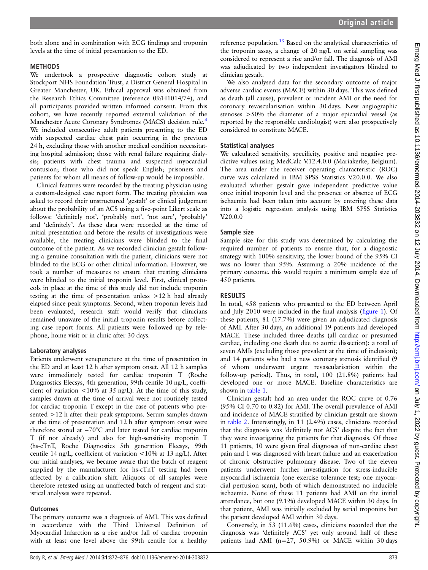both alone and in combination with ECG findings and troponin levels at the time of initial presentation to the ED.

# METHODS

We undertook a prospective diagnostic cohort study at Stockport NHS Foundation Trust, a District General Hospital in Greater Manchester, UK. Ethical approval was obtained from the Research Ethics Committee (reference 09/H1014/74), and all participants provided written informed consent. From this cohort, we have recently reported external validation of the Manchester Acute Coronary Syndromes (MACS) decision rule.[4](#page-4-0) We included consecutive adult patients presenting to the ED with suspected cardiac chest pain occurring in the previous 24 h, excluding those with another medical condition necessitating hospital admission; those with renal failure requiring dialysis; patients with chest trauma and suspected myocardial contusion; those who did not speak English; prisoners and patients for whom all means of follow-up would be impossible.

Clinical features were recorded by the treating physician using a custom-designed case report form. The treating physician was asked to record their unstructured 'gestalt' or clinical judgement about the probability of an ACS using a five-point Likert scale as follows: 'definitely not', 'probably not', 'not sure', 'probably' and 'definitely'. As these data were recorded at the time of initial presentation and before the results of investigations were available, the treating clinicians were blinded to the final outcome of the patient. As we recorded clinician gestalt following a genuine consultation with the patient, clinicians were not blinded to the ECG or other clinical information. However, we took a number of measures to ensure that treating clinicians were blinded to the initial troponin level. First, clinical protocols in place at the time of this study did not include troponin testing at the time of presentation unless >12 h had already elapsed since peak symptoms. Second, when troponin levels had been evaluated, research staff would verify that clinicians remained unaware of the initial troponin results before collecting case report forms. All patients were followed up by telephone, home visit or in clinic after 30 days.

# Laboratory analyses

Patients underwent venepuncture at the time of presentation in the ED and at least 12 h after symptom onset. All 12 h samples were immediately tested for cardiac troponin T (Roche Diagnostics Elecsys, 4th generation, 99th centile 10 ng/L, coefficient of variation <10% at 35 ng/L). At the time of this study, samples drawn at the time of arrival were not routinely tested for cardiac troponin T except in the case of patients who presented >12 h after their peak symptoms. Serum samples drawn at the time of presentation and 12 h after symptom onset were therefore stored at −70°C and later tested for cardiac troponin T (if not already) and also for high-sensitivity troponin T (hs-cTnT, Roche Diagnostics 5th generation Elecsys, 99th centile 14 ng/L, coefficient of variation <10% at 13 ng/L). After our initial analyses, we became aware that the batch of reagent supplied by the manufacturer for hs-cTnT testing had been affected by a calibration shift. Aliquots of all samples were therefore retested using an unaffected batch of reagent and statistical analyses were repeated.

#### **Outcomes**

The primary outcome was a diagnosis of AMI. This was defined in accordance with the Third Universal Definition of Myocardial Infarction as a rise and/or fall of cardiac troponin with at least one level above the 99th centile for a healthy

reference population.<sup>[13](#page-4-0)</sup> Based on the analytical characteristics of the troponin assay, a change of 20 ng/L on serial sampling was considered to represent a rise and/or fall. The diagnosis of AMI was adjudicated by two independent investigators blinded to clinician gestalt.

We also analysed data for the secondary outcome of major adverse cardiac events (MACE) within 30 days. This was defined as death (all cause), prevalent or incident AMI or the need for coronary revascularisation within 30 days. New angiographic stenoses >50% the diameter of a major epicardial vessel (as reported by the responsible cardiologist) were also prospectively considered to constitute MACE.

# Statistical analyses

We calculated sensitivity, specificity, positive and negative predictive values using MedCalc V.12.4.0.0 (Mariakerke, Belgium). The area under the receiver operating characteristic (ROC) curve was calculated in IBM SPSS Statistics V.20.0.0. We also evaluated whether gestalt gave independent predictive value once initial troponin level and the presence or absence of ECG ischaemia had been taken into account by entering these data into a logistic regression analysis using IBM SPSS Statistics V.20.0.0

# Sample size

Sample size for this study was determined by calculating the required number of patients to ensure that, for a diagnostic strategy with 100% sensitivity, the lower bound of the 95% CI was no lower than 95%. Assuming a 20% incidence of the primary outcome, this would require a minimum sample size of 450 patients.

# RESULTS

In total, 458 patients who presented to the ED between April and July 2010 were included in the final analysis (fi[gure 1](#page-2-0)). Of these patients, 81 (17.7%) were given an adjudicated diagnosis of AMI. After 30 days, an additional 19 patients had developed MACE. These included three deaths (all cardiac or presumed cardiac, including one death due to aortic dissection); a total of seven AMIs (excluding those prevalent at the time of inclusion); and 14 patients who had a new coronary stenosis identified (9 of whom underwent urgent revascularisation within the follow-up period). Thus, in total, 100 (21.8%) patients had developed one or more MACE. Baseline characteristics are shown in [table 1](#page-2-0).

Clinician gestalt had an area under the ROC curve of 0.76 (95% CI 0.70 to 0.82) for AMI. The overall prevalence of AMI and incidence of MACE stratified by clinician gestalt are shown in [table 2](#page-3-0). Interestingly, in 11 (2.4%) cases, clinicians recorded that the diagnosis was 'definitely not ACS' despite the fact that they were investigating the patients for that diagnosis. Of those 11 patients, 10 were given final diagnoses of non-cardiac chest pain and 1 was diagnosed with heart failure and an exacerbation of chronic obstructive pulmonary disease. Two of the eleven patients underwent further investigation for stress-inducible myocardial ischaemia (one exercise tolerance test; one myocardial perfusion scan), both of which demonstrated no inducible ischaemia. None of these 11 patients had AMI on the initial attendance, but one (9.1%) developed MACE within 30 days. In that patient, AMI was initially excluded by serial troponins but the patient developed AMI within 30 days.

Conversely, in 53 (11.6%) cases, clinicians recorded that the diagnosis was 'definitely ACS' yet only around half of these patients had AMI (n=27, 50.9%) or MACE within 30 days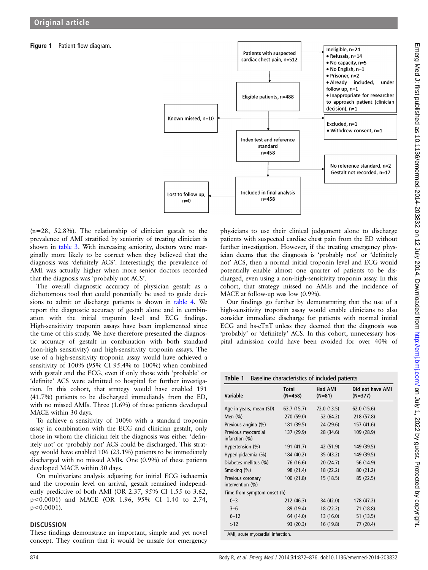# <span id="page-2-0"></span>Figure 1 Patient flow diagram.



 $(n=28, 52.8\%)$ . The relationship of clinician gestalt to the prevalence of AMI stratified by seniority of treating clinician is shown in [table 3.](#page-3-0) With increasing seniority, doctors were marginally more likely to be correct when they believed that the diagnosis was 'definitely ACS'. Interestingly, the prevalence of AMI was actually higher when more senior doctors recorded that the diagnosis was 'probably not ACS'.

The overall diagnostic accuracy of physician gestalt as a dichotomous tool that could potentially be used to guide decisions to admit or discharge patients is shown in [table 4.](#page-3-0) We report the diagnostic accuracy of gestalt alone and in combination with the initial troponin level and ECG findings. High-sensitivity troponin assays have been implemented since the time of this study. We have therefore presented the diagnostic accuracy of gestalt in combination with both standard (non-high sensitivity) and high-sensitivity troponin assays. The use of a high-sensitivity troponin assay would have achieved a sensitivity of 100% (95% CI 95.4% to 100%) when combined with gestalt and the ECG, even if only those with 'probable' or 'definite' ACS were admitted to hospital for further investigation. In this cohort, that strategy would have enabled 191 (41.7%) patients to be discharged immediately from the ED, with no missed AMIs. Three (1.6%) of these patients developed MACE within 30 days.

To achieve a sensitivity of 100% with a standard troponin assay in combination with the ECG and clinician gestalt, only those in whom the clinician felt the diagnosis was either 'definitely not' or 'probably not' ACS could be discharged. This strategy would have enabled 106 (23.1%) patients to be immediately discharged with no missed AMIs. One (0.9%) of these patients developed MACE within 30 days.

On multivariate analysis adjusting for initial ECG ischaemia and the troponin level on arrival, gestalt remained independently predictive of both AMI (OR 2.37, 95% CI 1.55 to 3.62, p<0.0001) and MACE (OR 1.96, 95% CI 1.40 to 2.74,  $p < 0.0001$ ).

#### **DISCUSSION**

These findings demonstrate an important, simple and yet novel concept. They confirm that it would be unsafe for emergency

physicians to use their clinical judgement alone to discharge patients with suspected cardiac chest pain from the ED without further investigation. However, if the treating emergency physician deems that the diagnosis is 'probably not' or 'definitely not' ACS, then a normal initial troponin level and ECG would potentially enable almost one quarter of patients to be discharged, even using a non-high-sensitivity troponin assay. In this cohort, that strategy missed no AMIs and the incidence of MACE at follow-up was low (0.9%).

Our findings go further by demonstrating that the use of a high-sensitivity troponin assay would enable clinicians to also consider immediate discharge for patients with normal initial ECG and hs-cTnT unless they deemed that the diagnosis was 'probably' or 'definitely' ACS. In this cohort, unnecessary hospital admission could have been avoided for over 40% of

Table 1 Baseline characteristics of included patients

| Variable                              | <b>Total</b><br>$(N=458)$ | <b>Had AMI</b><br>$(N=81)$ | Did not have AMI<br>$(N=377)$ |
|---------------------------------------|---------------------------|----------------------------|-------------------------------|
| Age in years, mean (SD)               | 63.7 (15.7)               | 72.0 (13.5)                | 62.0 (15.6)                   |
| Men $(\%)$                            | 270 (59.0)                | 52 (64.2)                  | 218 (57.8)                    |
| Previous angina (%)                   | 181 (39.5)                | 24 (29.6)                  | 157 (41.6)                    |
| Previous myocardial<br>infarction (%) | 137 (29.9)                | 28 (34.6)                  | 109 (28.9)                    |
| Hypertension (%)                      | 191 (41.7)                | 42 (51.9)                  | 149 (39.5)                    |
| Hyperlipidaemia (%)                   | 184 (40.2)                | 35 (43.2)                  | 149 (39.5)                    |
| Diabetes mellitus (%)                 | 76 (16.6)                 | 20(24.7)                   | 56 (14.9)                     |
| Smoking (%)                           | 98 (21.4)                 | 18 (22.2)                  | 80(21.2)                      |
| Previous coronary<br>intervention (%) | 100(21.8)                 | 15(18.5)                   | 85 (22.5)                     |
| Time from symptom onset (h)           |                           |                            |                               |
| $0 - 3$                               | 212 (46.3)                | 34 (42.0)                  | 178 (47.2)                    |
| $3 - 6$                               | 89 (19.4)                 | 18 (22.2)                  | 71 (18.8)                     |
| $6 - 12$                              | 64 (14.0)                 | 13 (16.0)                  | 51 (13.5)                     |
| >12                                   | 93 (20.3)                 | 16 (19.8)                  | 77 (20.4)                     |

AMI, acute myocardial infarction.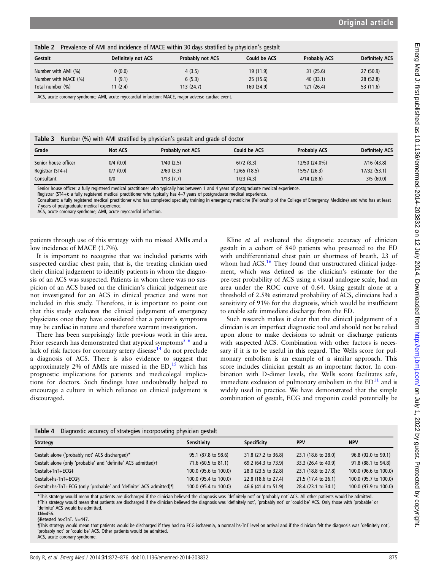<span id="page-3-0"></span>Table 2 Prevalence of AMI and incidence of MACE within 30 days stratified by physician's gestalt Gestalt Definitely not ACS Probably not ACS Could be ACS Probably ACS Definitely ACS Number with AMI (%) 0 (0.0) 4 (3.5) 19 (11.9) 31 (25.6) 27 (50.9) Number with MACE (%) 1 (9.1) 6 (5.3) 25 (15.6) 40 (33.1) 28 (52.8) Total number (%) 11 (2.4) 113 (24.7) 160 (34.9) 121 (26.4) 53 (11.6)

ACS, acute coronary syndrome; AMI, acute myocardial infarction; MACE, major adverse cardiac event.

Table 3 Number (%) with AMI stratified by physician's gestalt and grade of doctor

| Grade                | <b>Not ACS</b> | <b>Probably not ACS</b> | Could be ACS | <b>Probably ACS</b> | <b>Definitely ACS</b> |
|----------------------|----------------|-------------------------|--------------|---------------------|-----------------------|
| Senior house officer | $0/4$ $(0.0)$  | 1/40 (2.5)              | 6/72(8.3)    | 12/50 (24.0%)       | 7/16(43.8)            |
| Registrar $(ST4+)$   | 0/7(0.0)       | $2/60$ (3.3)            | 12/65 (18.5) | 15/57 (26.3)        | 17/32 (53.1)          |
| Consultant           | 0/0            | 1/13(7.7)               | 1/23 (4.3)   | 4/14(28.6)          | 3/5(60.0)             |

Senior house officer: a fully registered medical practitioner who typically has between 1 and 4 years of postgraduate medical experience.

Registrar (ST4+): a fully registered medical practitioner who typically has 4–7 years of postgraduate medical experience.

Consultant: a fully registered medical practitioner who has completed specialty training in emergency medicine (Fellowship of the College of Emergency Medicine) and who has at least 7 years of postgraduate medical experience.

ACS, acute coronary syndrome; AMI, acute myocardial infarction.

patients through use of this strategy with no missed AMIs and a low incidence of MACE (1.7%).

It is important to recognise that we included patients with suspected cardiac chest pain, that is, the treating clinician used their clinical judgement to identify patients in whom the diagnosis of an ACS was suspected. Patients in whom there was no suspicion of an ACS based on the clinician's clinical judgement are not investigated for an ACS in clinical practice and were not included in this study. Therefore, it is important to point out that this study evaluates the clinical judgement of emergency physicians once they have considered that a patient's symptoms may be cardiac in nature and therefore warrant investigation.

There has been surprisingly little previous work in this area. Prior research has demonstrated that atypical symptoms<sup>5</sup> <sup>6</sup> and a lack of risk factors for coronary artery disease<sup>14</sup> do not preclude a diagnosis of ACS. There is also evidence to suggest that approximately 2% of AMIs are missed in the  $ED<sub>15</sub>$  $ED<sub>15</sub>$  $ED<sub>15</sub>$  which has prognostic implications for patients and medicolegal implications for doctors. Such findings have undoubtedly helped to encourage a culture in which reliance on clinical judgement is discouraged.

Kline *et al* evaluated the diagnostic accuracy of clinician gestalt in a cohort of 840 patients who presented to the ED with undifferentiated chest pain or shortness of breath, 23 of whom had  $ACS<sup>16</sup>$ . They found that unstructured clinical judgement, which was defined as the clinician's estimate for the pre-test probability of ACS using a visual analogue scale, had an area under the ROC curve of 0.64. Using gestalt alone at a threshold of 2.5% estimated probability of ACS, clinicians had a sensitivity of 91% for the diagnosis, which would be insufficient to enable safe immediate discharge from the ED.

Such research makes it clear that the clinical judgement of a clinician is an imperfect diagnostic tool and should not be relied upon alone to make decisions to admit or discharge patients with suspected ACS. Combination with other factors is necessary if it is to be useful in this regard. The Wells score for pulmonary embolism is an example of a similar approach. This score includes clinician gestalt as an important factor. In combination with D-dimer levels, the Wells score facilitates safe, immediate exclusion of pulmonary embolism in the  $ED<sup>11</sup>$  and is widely used in practice. We have demonstrated that the simple combination of gestalt, ECG and troponin could potentially be

| <b>Strategy</b>                                                   | Sensitivity           | Specificity         | <b>PPV</b>          | <b>NPV</b>            |  |  |  |  |
|-------------------------------------------------------------------|-----------------------|---------------------|---------------------|-----------------------|--|--|--|--|
| Gestalt alone ('probably not' ACS discharged)*                    | 95.1 (87.8 to 98.6)   | 31.8 (27.2 to 36.8) | 23.1 (18.6 to 28.0) | 96.8 (92.0 to 99.1)   |  |  |  |  |
| Gestalt alone (only 'probable' and 'definite' ACS admitted)t      | 71.6 (60.5 to 81.1)   | 69.2 (64.3 to 73.9) | 33.3 (26.4 to 40.9) | 91.8 (88.1 to 94.8)   |  |  |  |  |
| Gestalt+TnT+ECG‡                                                  | 100.0 (95.6 to 100.0) | 28.0 (23.5 to 32.8) | 23.1 (18.8 to 27.8) | 100.0 (96.6 to 100.0) |  |  |  |  |
| Gestalt+hs-TnT+ECG§                                               | 100.0 (95.4 to 100.0) | 22.8 (18.6 to 27.4) | 21.5 (17.4 to 26.1) | 100.0 (95.7 to 100.0) |  |  |  |  |
| Gestalt+hs-TnT+ECG (only 'probable' and 'definite' ACS admitted)¶ | 100.0 (95.4 to 100.0) | 46.6 (41.4 to 51.9) | 28.4 (23.1 to 34.1) | 100.0 (97.9 to 100.0) |  |  |  |  |

\*This strategy would mean that patients are discharged if the clinician believed the diagnosis was 'definitely not' or 'probably not' ACS. All other patients would be admitted. †This strategy would mean that patients are discharged if the clinician believed the diagnosis was 'definitely not', 'probably not' or 'could be' ACS. Only those with 'probable' or 'definite' ACS would be admitted.  $$N=456$ 

§Retested hs-cTnT. N=447.

¶This strategy would mean that patients would be discharged if they had no ECG ischaemia, a normal hs-TnT level on arrival and if the clinician felt the diagnosis was 'definitely not', 'probably not' or 'could be' ACS. Other patients would be admitted.

ACS, acute coronary syndrome.